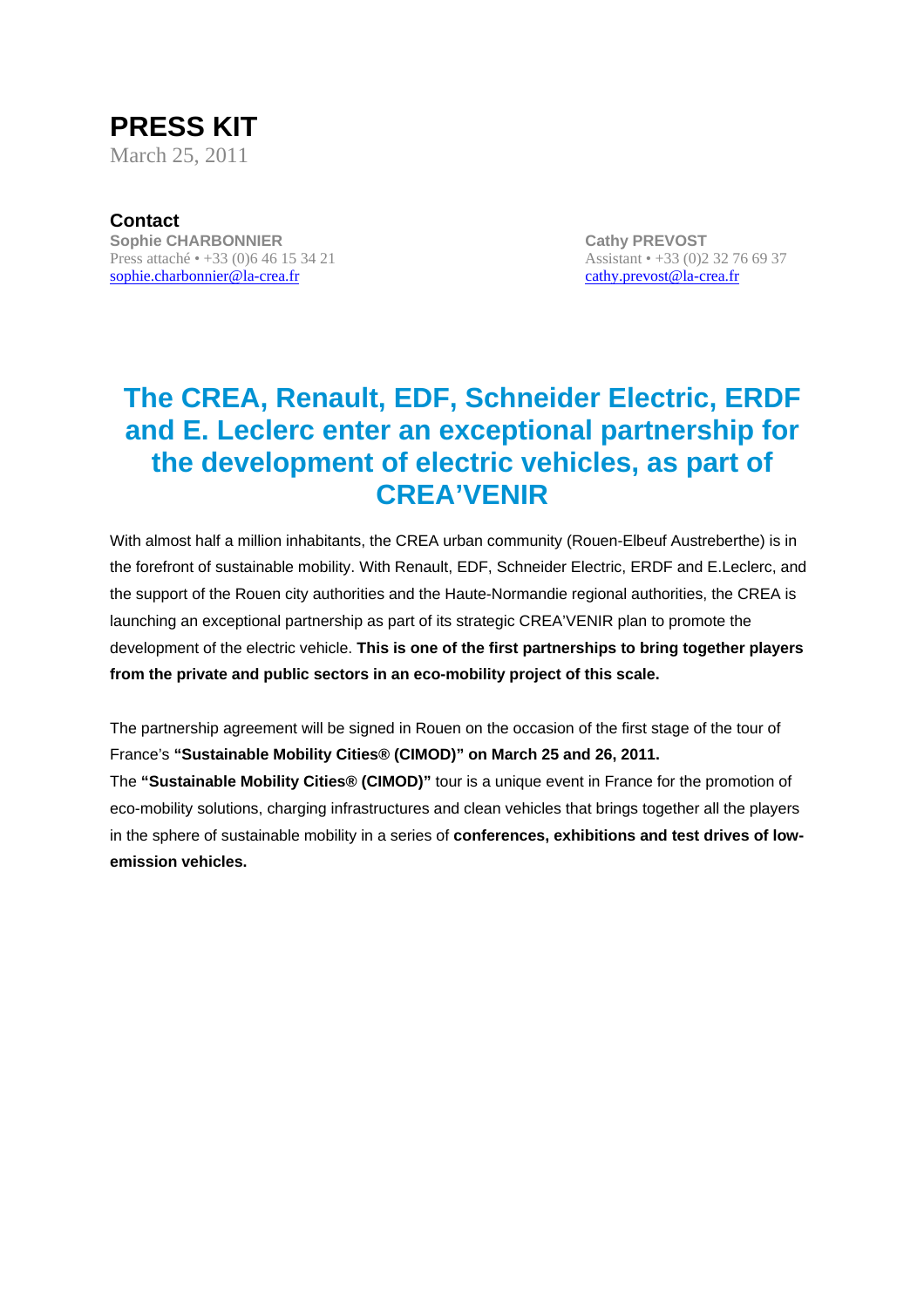

**Contact Sophie CHARBONNIER CATHY CATHY CATHY CATHY PREVOST** Press attaché • +33 (0)6 46 15 34 21 Assistant • +33 (0)2 32 76 69 37 sophie.charbonnier@la-crea.fr cathy.prevost@la-crea.fr

# **The CREA, Renault, EDF, Schneider Electric, ERDF and E. Leclerc enter an exceptional partnership for the development of electric vehicles, as part of CREA'VENIR**

With almost half a million inhabitants, the CREA urban community (Rouen-Elbeuf Austreberthe) is in the forefront of sustainable mobility. With Renault, EDF, Schneider Electric, ERDF and E.Leclerc, and the support of the Rouen city authorities and the Haute-Normandie regional authorities, the CREA is launching an exceptional partnership as part of its strategic CREA'VENIR plan to promote the development of the electric vehicle. **This is one of the first partnerships to bring together players from the private and public sectors in an eco-mobility project of this scale.** 

The partnership agreement will be signed in Rouen on the occasion of the first stage of the tour of France's **"Sustainable Mobility Cities® (CIMOD)" on March 25 and 26, 2011.** 

The **"Sustainable Mobility Cities® (CIMOD)"** tour is a unique event in France for the promotion of eco-mobility solutions, charging infrastructures and clean vehicles that brings together all the players in the sphere of sustainable mobility in a series of **conferences, exhibitions and test drives of lowemission vehicles.**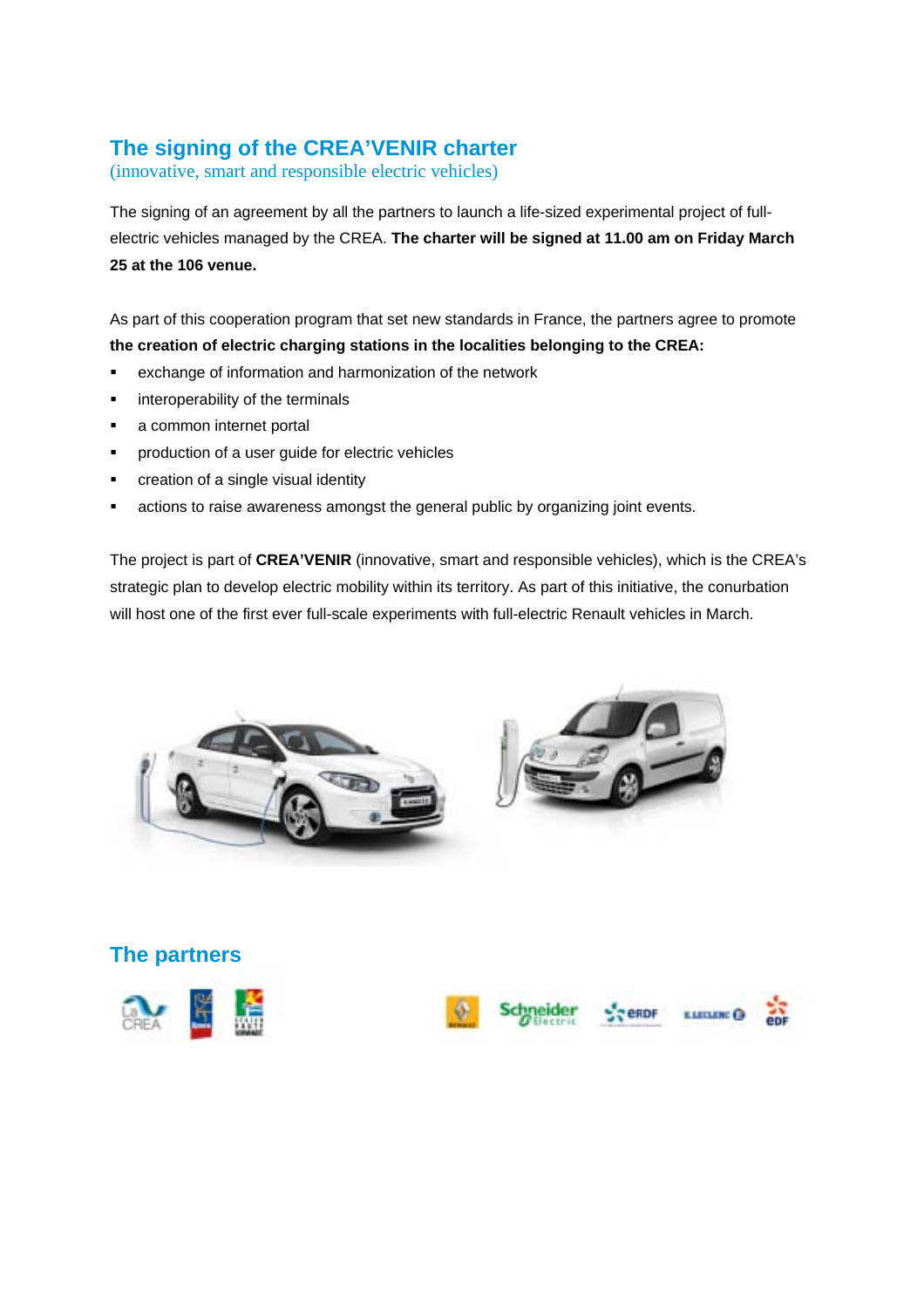## **The signing of the CREA'VENIR charter**

(innovative, smart and responsible electric vehicles)

The signing of an agreement by all the partners to launch a life-sized experimental project of fullelectric vehicles managed by the CREA. **The charter will be signed at 11.00 am on Friday March 25 at the 106 venue.** 

As part of this cooperation program that set new standards in France, the partners agree to promote **the creation of electric charging stations in the localities belonging to the CREA:** 

- ! exchange of information and harmonization of the network
- **EXEC** interoperability of the terminals
- **a** common internet portal
- **•** production of a user guide for electric vehicles
- creation of a single visual identity
- **EXEDENT Actions to raise awareness amongst the general public by organizing joint events.**

The project is part of **CREA'VENIR** (innovative, smart and responsible vehicles), which is the CREA's strategic plan to develop electric mobility within its territory. As part of this initiative, the conurbation will host one of the first ever full-scale experiments with full-electric Renault vehicles in March.





## **The partners**





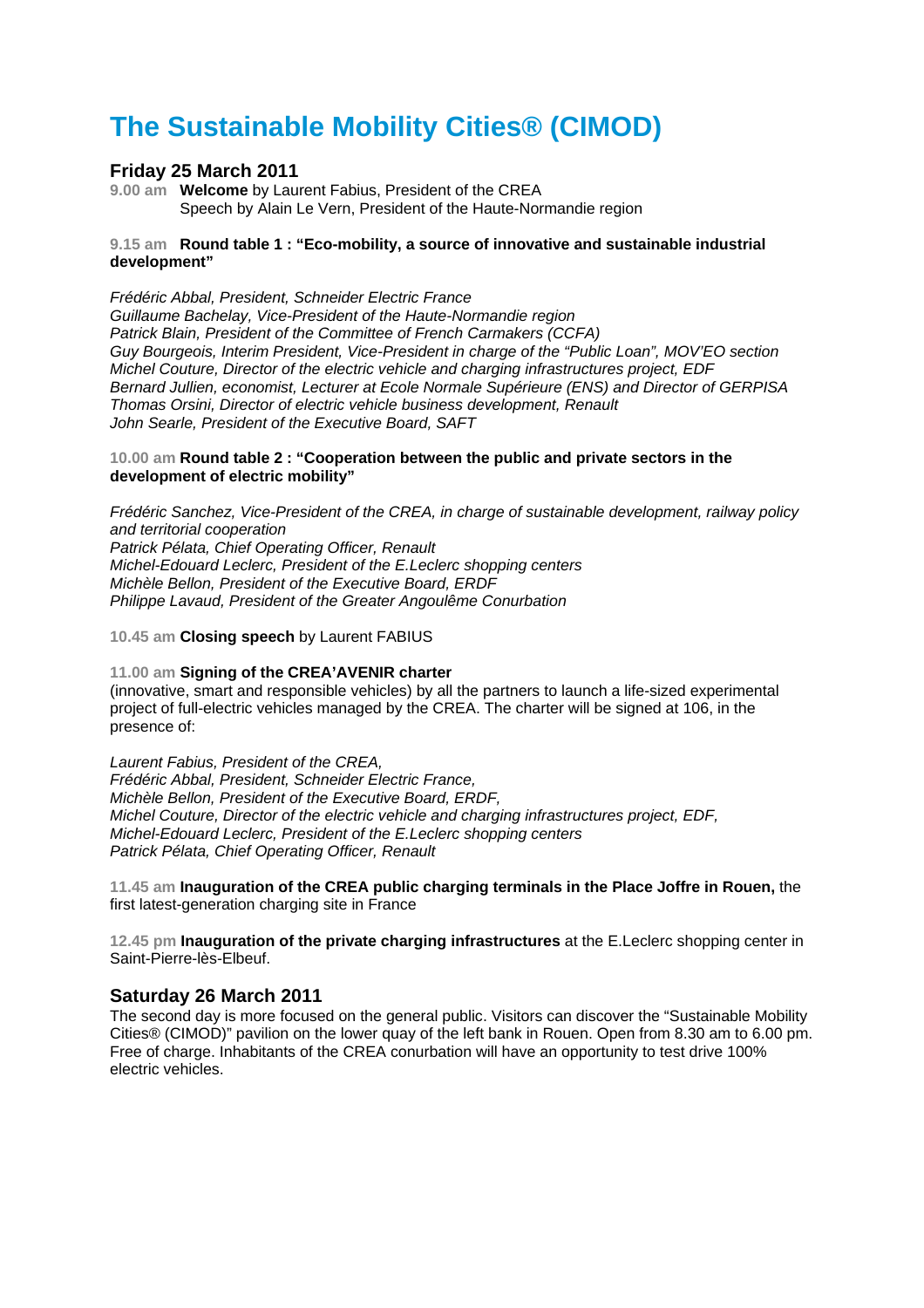# **The Sustainable Mobility Cities® (CIMOD)**

### **Friday 25 March 2011**

**9.00 am Welcome** by Laurent Fabius, President of the CREA Speech by Alain Le Vern, President of the Haute-Normandie region

### **9.15 am Round table 1 : "Eco-mobility, a source of innovative and sustainable industrial development"**

*Frédéric Abbal, President, Schneider Electric France Guillaume Bachelay, Vice-President of the Haute-Normandie region Patrick Blain, President of the Committee of French Carmakers (CCFA) Guy Bourgeois, Interim President, Vice-President in charge of the "Public Loan", MOV'EO section Michel Couture, Director of the electric vehicle and charging infrastructures project, EDF Bernard Jullien, economist, Lecturer at Ecole Normale Supérieure (ENS) and Director of GERPISA Thomas Orsini, Director of electric vehicle business development, Renault John Searle, President of the Executive Board, SAFT* 

### **10.00 am Round table 2 : "Cooperation between the public and private sectors in the development of electric mobility"**

*Frédéric Sanchez, Vice-President of the CREA, in charge of sustainable development, railway policy and territorial cooperation Patrick Pélata, Chief Operating Officer, Renault Michel-Edouard Leclerc, President of the E.Leclerc shopping centers Michèle Bellon, President of the Executive Board, ERDF Philippe Lavaud, President of the Greater Angoulême Conurbation* 

**10.45 am Closing speech** by Laurent FABIUS

### **11.00 am Signing of the CREA'AVENIR charter**

(innovative, smart and responsible vehicles) by all the partners to launch a life-sized experimental project of full-electric vehicles managed by the CREA. The charter will be signed at 106, in the presence of:

*Laurent Fabius, President of the CREA, Frédéric Abbal, President, Schneider Electric France, Michèle Bellon, President of the Executive Board, ERDF, Michel Couture, Director of the electric vehicle and charging infrastructures project, EDF, Michel-Edouard Leclerc, President of the E.Leclerc shopping centers Patrick Pélata, Chief Operating Officer, Renault* 

**11.45 am Inauguration of the CREA public charging terminals in the Place Joffre in Rouen,** the first latest-generation charging site in France

**12.45 pm Inauguration of the private charging infrastructures** at the E.Leclerc shopping center in Saint-Pierre-lès-Elbeuf.

### **Saturday 26 March 2011**

The second day is more focused on the general public. Visitors can discover the "Sustainable Mobility Cities® (CIMOD)" pavilion on the lower quay of the left bank in Rouen. Open from 8.30 am to 6.00 pm. Free of charge. Inhabitants of the CREA conurbation will have an opportunity to test drive 100% electric vehicles.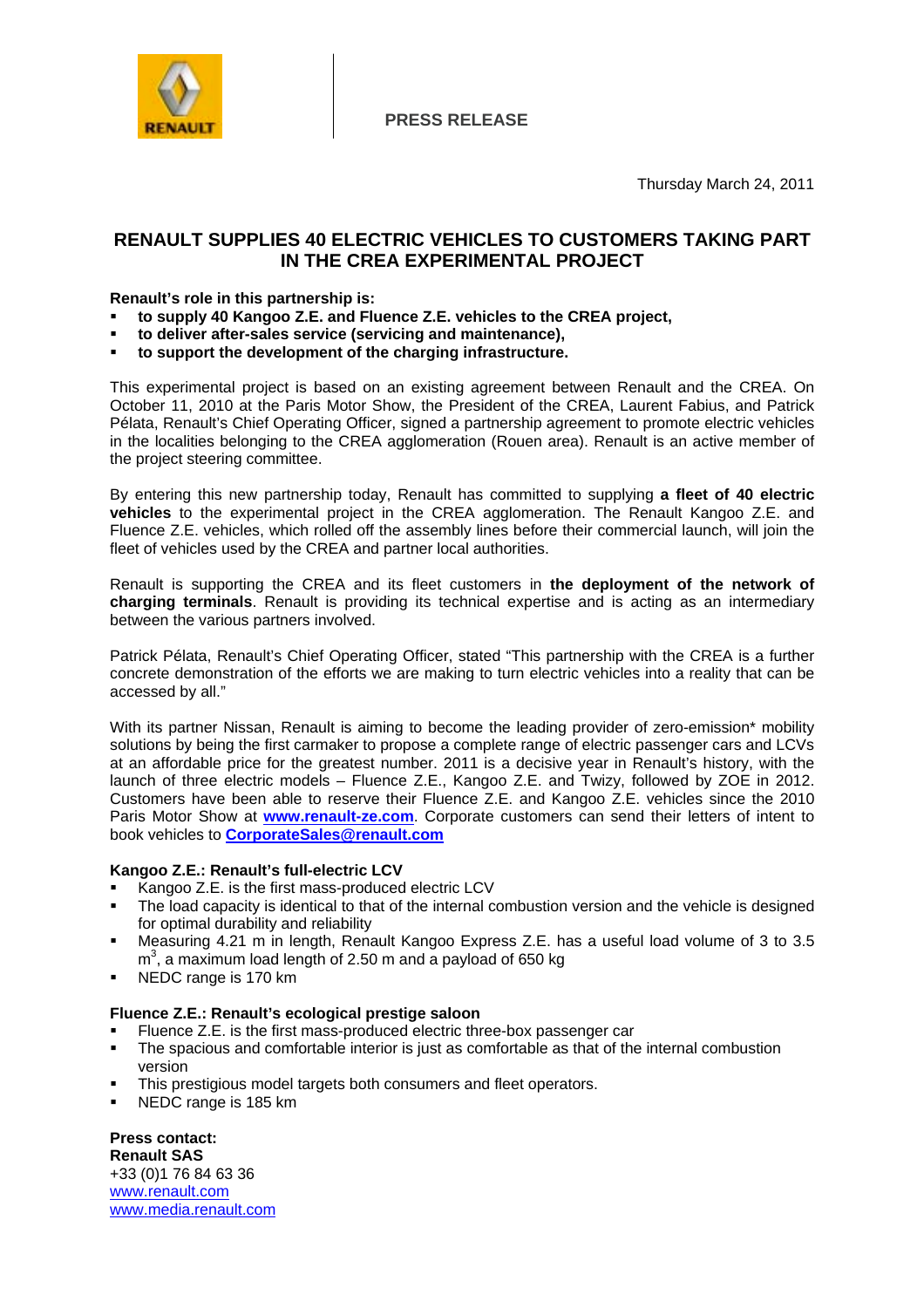

**PRESS RELEASE**

### **RENAULT SUPPLIES 40 ELECTRIC VEHICLES TO CUSTOMERS TAKING PART IN THE CREA EXPERIMENTAL PROJECT**

### **Renault's role in this partnership is:**

- ! **to supply 40 Kangoo Z.E. and Fluence Z.E. vehicles to the CREA project,**
- ! **to deliver after-sales service (servicing and maintenance),**
- ! **to support the development of the charging infrastructure.**

This experimental project is based on an existing agreement between Renault and the CREA. On October 11, 2010 at the Paris Motor Show, the President of the CREA, Laurent Fabius, and Patrick Pélata, Renault's Chief Operating Officer, signed a partnership agreement to promote electric vehicles in the localities belonging to the CREA agglomeration (Rouen area). Renault is an active member of the project steering committee.

By entering this new partnership today, Renault has committed to supplying **a fleet of 40 electric vehicles** to the experimental project in the CREA agglomeration. The Renault Kangoo Z.E. and Fluence Z.E. vehicles, which rolled off the assembly lines before their commercial launch, will join the fleet of vehicles used by the CREA and partner local authorities.

Renault is supporting the CREA and its fleet customers in **the deployment of the network of charging terminals**. Renault is providing its technical expertise and is acting as an intermediary between the various partners involved.

Patrick Pélata, Renault's Chief Operating Officer, stated "This partnership with the CREA is a further concrete demonstration of the efforts we are making to turn electric vehicles into a reality that can be accessed by all."

With its partner Nissan, Renault is aiming to become the leading provider of zero-emission\* mobility solutions by being the first carmaker to propose a complete range of electric passenger cars and LCVs at an affordable price for the greatest number. 2011 is a decisive year in Renault's history, with the launch of three electric models – Fluence Z.E., Kangoo Z.E. and Twizy, followed by ZOE in 2012. Customers have been able to reserve their Fluence Z.E. and Kangoo Z.E. vehicles since the 2010 Paris Motor Show at **www.renault-ze.com**. Corporate customers can send their letters of intent to book vehicles to **CorporateSales@renault.com**

### **Kangoo Z.E.: Renault's full-electric LCV**

- Kangoo Z.E. is the first mass-produced electric LCV
- The load capacity is identical to that of the internal combustion version and the vehicle is designed for optimal durability and reliability
- ! Measuring 4.21 m in length, Renault Kangoo Express Z.E. has a useful load volume of 3 to 3.5  $m<sup>3</sup>$ , a maximum load length of 2.50 m and a payload of 650 kg
- NEDC range is 170 km

### **Fluence Z.E.: Renault's ecological prestige saloon**

- ! Fluence Z.E. is the first mass-produced electric three-box passenger car
- ! The spacious and comfortable interior is just as comfortable as that of the internal combustion version
- ! This prestigious model targets both consumers and fleet operators.
- NEDC range is 185 km

### **Press contact: Renault SAS**

+33 (0)1 76 84 63 36 www.renault.com www.media.renault.com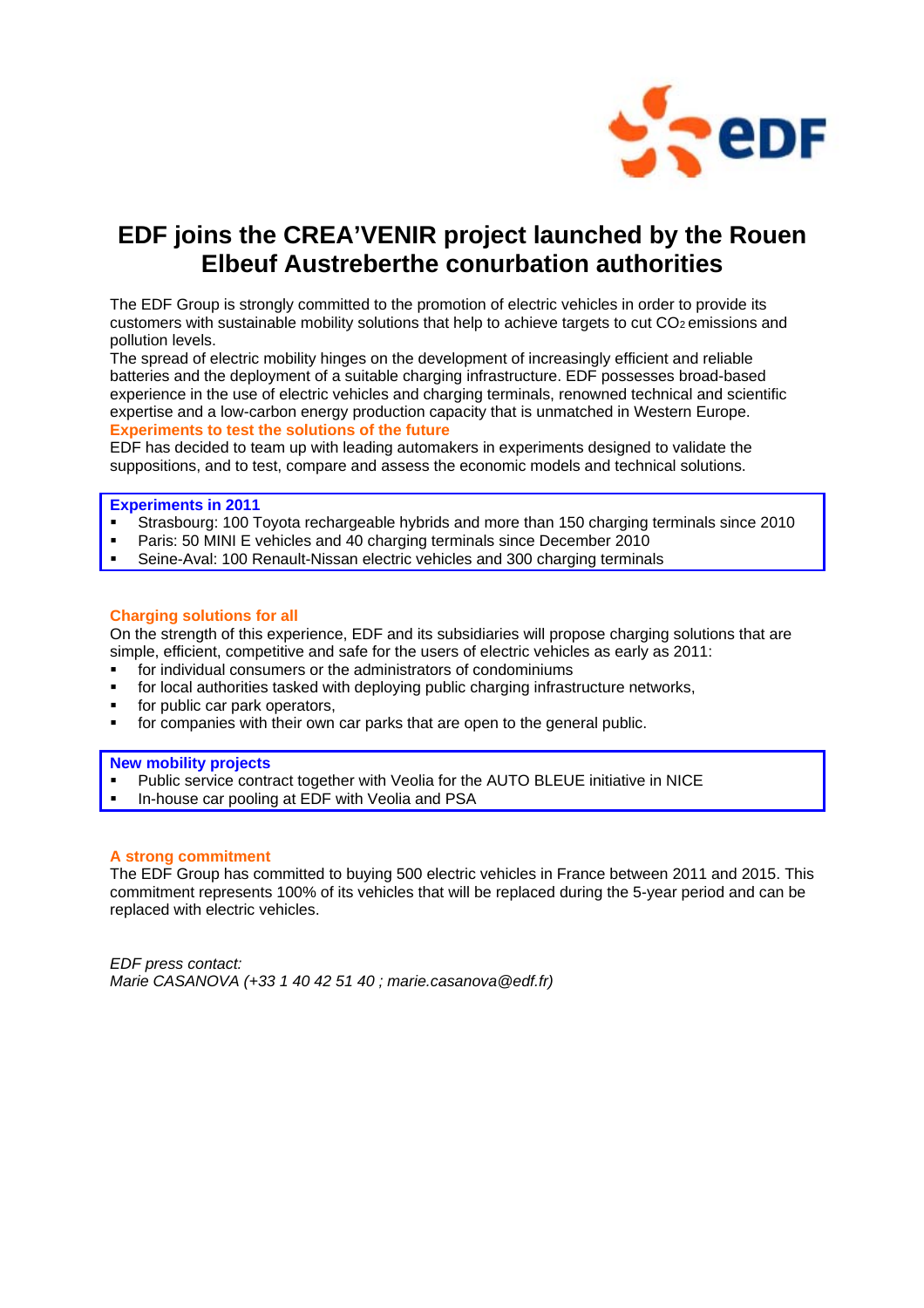

# **EDF joins the CREA'VENIR project launched by the Rouen Elbeuf Austreberthe conurbation authorities**

The EDF Group is strongly committed to the promotion of electric vehicles in order to provide its customers with sustainable mobility solutions that help to achieve targets to cut CO2 emissions and pollution levels.

The spread of electric mobility hinges on the development of increasingly efficient and reliable batteries and the deployment of a suitable charging infrastructure. EDF possesses broad-based experience in the use of electric vehicles and charging terminals, renowned technical and scientific expertise and a low-carbon energy production capacity that is unmatched in Western Europe. **Experiments to test the solutions of the future** 

EDF has decided to team up with leading automakers in experiments designed to validate the suppositions, and to test, compare and assess the economic models and technical solutions.

### **Experiments in 2011**

- ! Strasbourg: 100 Toyota rechargeable hybrids and more than 150 charging terminals since 2010
- Paris: 50 MINI E vehicles and 40 charging terminals since December 2010
- Seine-Aval: 100 Renault-Nissan electric vehicles and 300 charging terminals

#### **Charging solutions for all**

On the strength of this experience, EDF and its subsidiaries will propose charging solutions that are simple, efficient, competitive and safe for the users of electric vehicles as early as 2011:

- for individual consumers or the administrators of condominiums
- for local authorities tasked with deploying public charging infrastructure networks,
- for public car park operators,
- ! for companies with their own car parks that are open to the general public.

#### **New mobility projects**

- ! Public service contract together with Veolia for the AUTO BLEUE initiative in NICE
- In-house car pooling at EDF with Veolia and PSA

### **A strong commitment**

The EDF Group has committed to buying 500 electric vehicles in France between 2011 and 2015. This commitment represents 100% of its vehicles that will be replaced during the 5-year period and can be replaced with electric vehicles.

*EDF press contact: Marie CASANOVA (+33 1 40 42 51 40 ; marie.casanova@edf.fr)*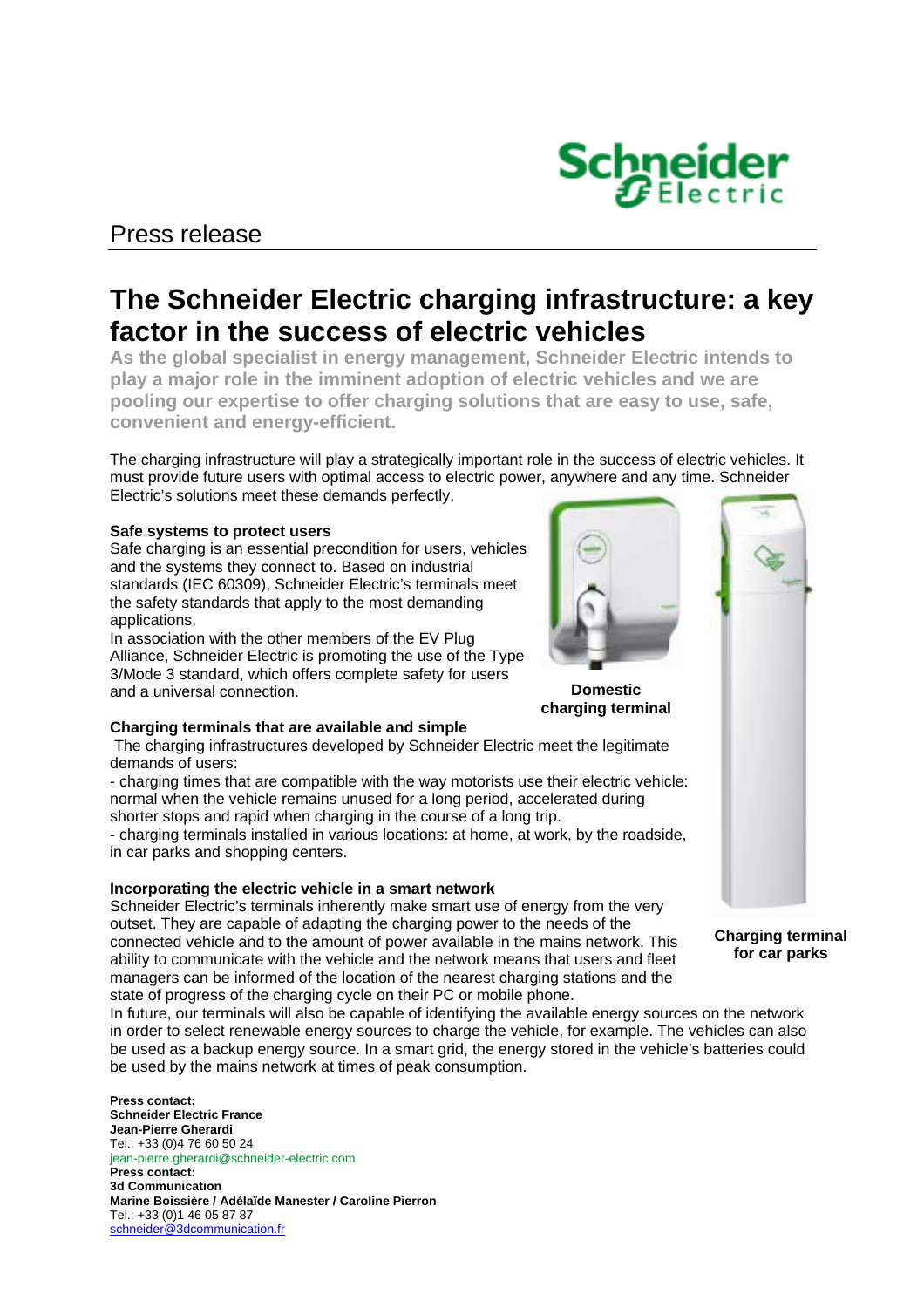## Press release

# **The Schneider Electric charging infrastructure: a key factor in the success of electric vehicles**

**As the global specialist in energy management, Schneider Electric intends to play a major role in the imminent adoption of electric vehicles and we are pooling our expertise to offer charging solutions that are easy to use, safe, convenient and energy-efficient.** 

The charging infrastructure will play a strategically important role in the success of electric vehicles. It must provide future users with optimal access to electric power, anywhere and any time. Schneider Electric's solutions meet these demands perfectly.

### **Safe systems to protect users**

Safe charging is an essential precondition for users, vehicles and the systems they connect to. Based on industrial standards (IEC 60309), Schneider Electric's terminals meet the safety standards that apply to the most demanding applications.

In association with the other members of the EV Plug Alliance, Schneider Electric is promoting the use of the Type 3/Mode 3 standard, which offers complete safety for users and a universal connection.



The charging infrastructures developed by Schneider Electric meet the legitimate demands of users:

- charging times that are compatible with the way motorists use their electric vehicle: normal when the vehicle remains unused for a long period, accelerated during shorter stops and rapid when charging in the course of a long trip.

- charging terminals installed in various locations: at home, at work, by the roadside, in car parks and shopping centers.

### **Incorporating the electric vehicle in a smart network**

Schneider Electric's terminals inherently make smart use of energy from the very outset. They are capable of adapting the charging power to the needs of the connected vehicle and to the amount of power available in the mains network. This ability to communicate with the vehicle and the network means that users and fleet managers can be informed of the location of the nearest charging stations and the state of progress of the charging cycle on their PC or mobile phone.

In future, our terminals will also be capable of identifying the available energy sources on the network in order to select renewable energy sources to charge the vehicle, for example. The vehicles can also be used as a backup energy source. In a smart grid, the energy stored in the vehicle's batteries could be used by the mains network at times of peak consumption.

**Press contact: Schneider Electric France Jean-Pierre Gherardi**  Tel.: +33 (0)4 76 60 50 24 jean-pierre.gherardi@schneider-electric.com **Press contact: 3d Communication Marine Boissière / Adélaïde Manester / Caroline Pierron**  Tel.: +33 (0)1 46 05 87 87 schneider@3dcommunication.fr





**Charging terminal for car parks** 

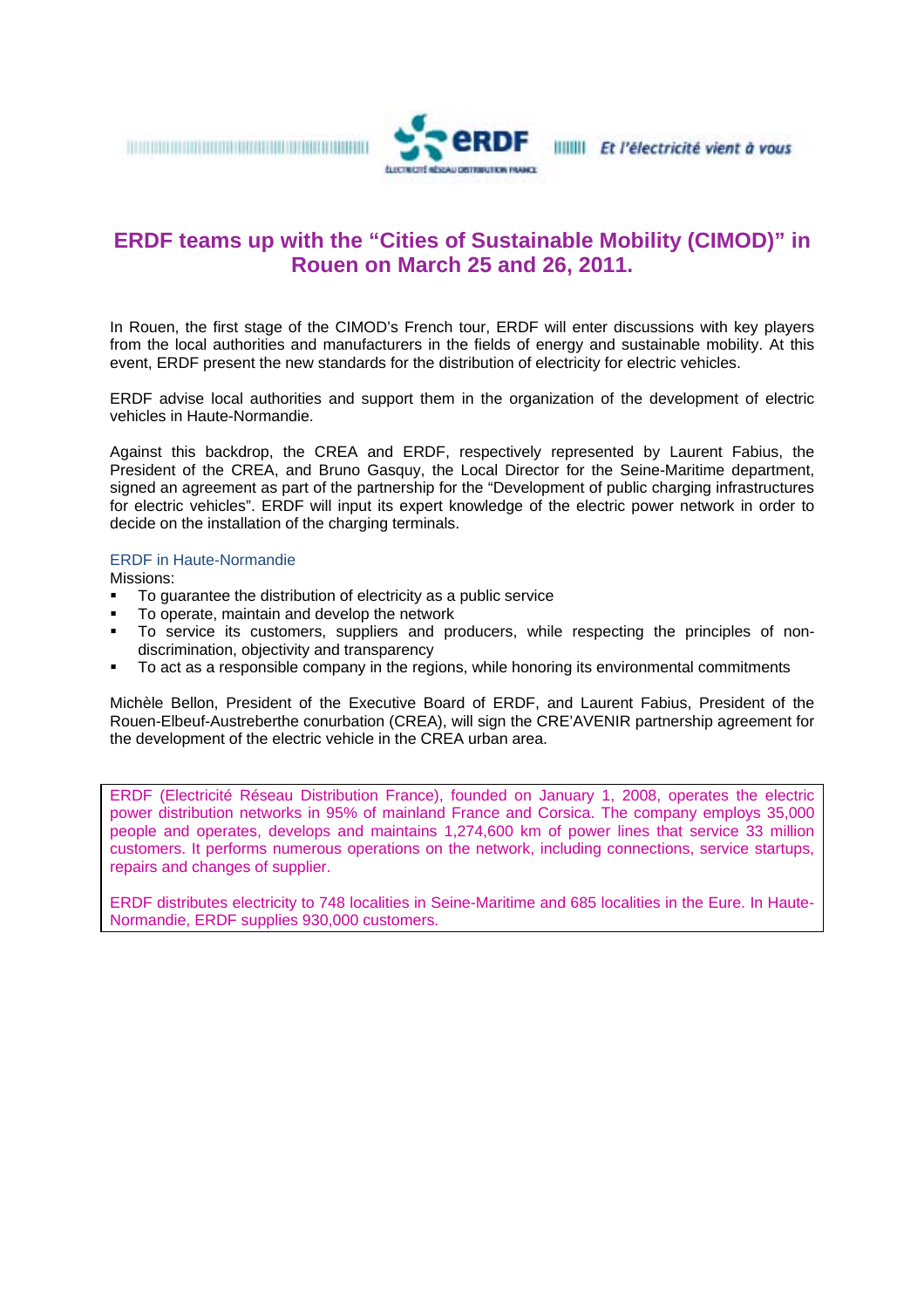

### **ERDF teams up with the "Cities of Sustainable Mobility (CIMOD)" in Rouen on March 25 and 26, 2011.**

In Rouen, the first stage of the CIMOD's French tour, ERDF will enter discussions with key players from the local authorities and manufacturers in the fields of energy and sustainable mobility. At this event, ERDF present the new standards for the distribution of electricity for electric vehicles.

ERDF advise local authorities and support them in the organization of the development of electric vehicles in Haute-Normandie.

Against this backdrop, the CREA and ERDF, respectively represented by Laurent Fabius, the President of the CREA, and Bruno Gasquy, the Local Director for the Seine-Maritime department, signed an agreement as part of the partnership for the "Development of public charging infrastructures for electric vehicles". ERDF will input its expert knowledge of the electric power network in order to decide on the installation of the charging terminals.

### ERDF in Haute-Normandie

Missions:

- ! To guarantee the distribution of electricity as a public service
- ! To operate, maintain and develop the network
- ! To service its customers, suppliers and producers, while respecting the principles of nondiscrimination, objectivity and transparency
- ! To act as a responsible company in the regions, while honoring its environmental commitments

Michèle Bellon, President of the Executive Board of ERDF, and Laurent Fabius, President of the Rouen-Elbeuf-Austreberthe conurbation (CREA), will sign the CRE'AVENIR partnership agreement for the development of the electric vehicle in the CREA urban area.

ERDF (Electricité Réseau Distribution France), founded on January 1, 2008, operates the electric power distribution networks in 95% of mainland France and Corsica. The company employs 35,000 people and operates, develops and maintains 1,274,600 km of power lines that service 33 million customers. It performs numerous operations on the network, including connections, service startups, repairs and changes of supplier.

ERDF distributes electricity to 748 localities in Seine-Maritime and 685 localities in the Eure. In Haute-Normandie, ERDF supplies 930,000 customers.